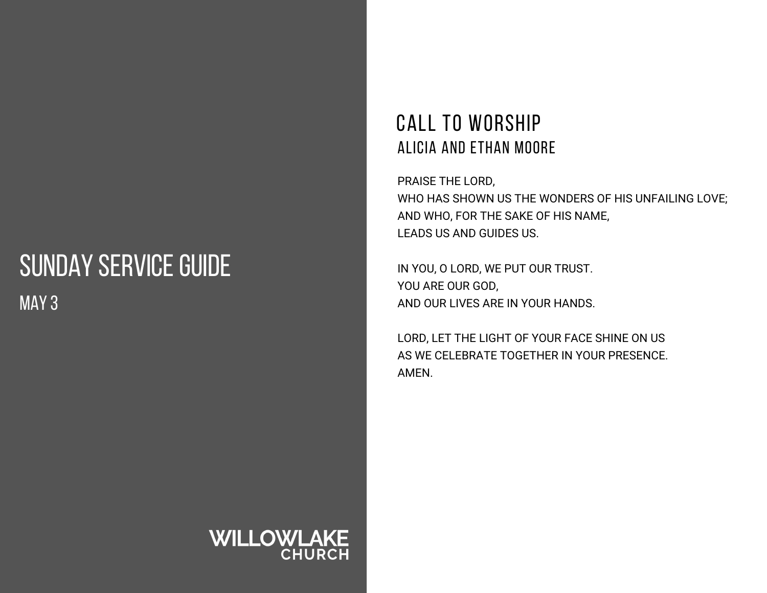## SUNDAY SERVICE GUIDE MAY 3

#### CALL TO WORSHIP ALICIA AND ETHAN MOORE

PRAISE THE LORD, WHO HAS SHOWN US THE WONDERS OF HIS UNFAILING LOVE; AND WHO, FOR THE SAKE OF HIS NAME, LEADS US AND GUIDES US.

IN YOU, O LORD, WE PUT OUR TRUST. YOU ARE OUR GOD, AND OUR LIVES ARE IN YOUR HANDS.

LORD, LET THE LIGHT OF YOUR FACE SHINE ON US AS WE CELEBRATE TOGETHER IN YOUR PRESENCE. AMEN.

# **WILLOWLAKE**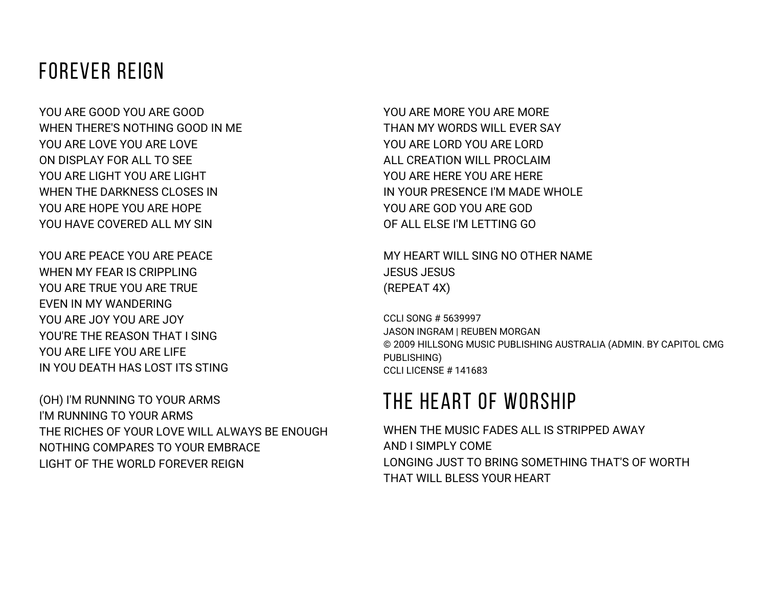### FOREVER REIGN

YOU ARE GOOD YOU ARE GOOD WHEN THERE'S NOTHING GOOD IN ME YOU ARE LOVE YOU ARE LOVE ON DISPLAY FOR ALL TO SEE YOU ARE LIGHT YOU ARE LIGHT WHEN THE DARKNESS CLOSES IN YOU ARE HOPE YOU ARE HOPE YOU HAVE COVERED ALL MY SIN

YOU ARE PEACE YOU ARE PEACE WHEN MY FEAR IS CRIPPLING YOU ARE TRUE YOU ARE TRUE EVEN IN MY WANDERING YOU ARE JOY YOU ARE JOY YOU'RE THE REASON THAT I SING YOU ARE LIFE YOU ARE LIFE IN YOU DEATH HAS LOST ITS STING

(OH) I'M RUNNING TO YOUR ARMS I'M RUNNING TO YOUR ARMS THE RICHES OF YOUR LOVE WILL ALWAYS BE ENOUGH NOTHING COMPARES TO YOUR EMBRACE LIGHT OF THE WORLD FOREVER REIGN

YOU ARE MORE YOU ARE MORE THAN MY WORDS WILL EVER SAY YOU ARE LORD YOU ARE LORD ALL CREATION WILL PROCLAIM YOU ARE HERE YOU ARE HERE IN YOUR PRESENCE I'M MADE WHOLE YOU ARE GOD YOU ARE GOD OF ALL ELSE I'M LETTING GO

MY HEART WILL SING NO OTHER NAME JESUS JESUS (REPEAT 4X)

CCLI SONG # 5639997 JASON INGRAM | REUBEN MORGAN © 2009 HILLSONG MUSIC PUBLISHING AUSTRALIA (ADMIN. BY CAPITOL CMG PUBLISHING) CCLI LICENSE # 141683

### THE HEART OF WORSHIP

WHEN THE MUSIC FADES ALL IS STRIPPED AWAY AND I SIMPLY COME LONGING JUST TO BRING SOMETHING THAT'S OF WORTH THAT WILL BLESS YOUR HEART